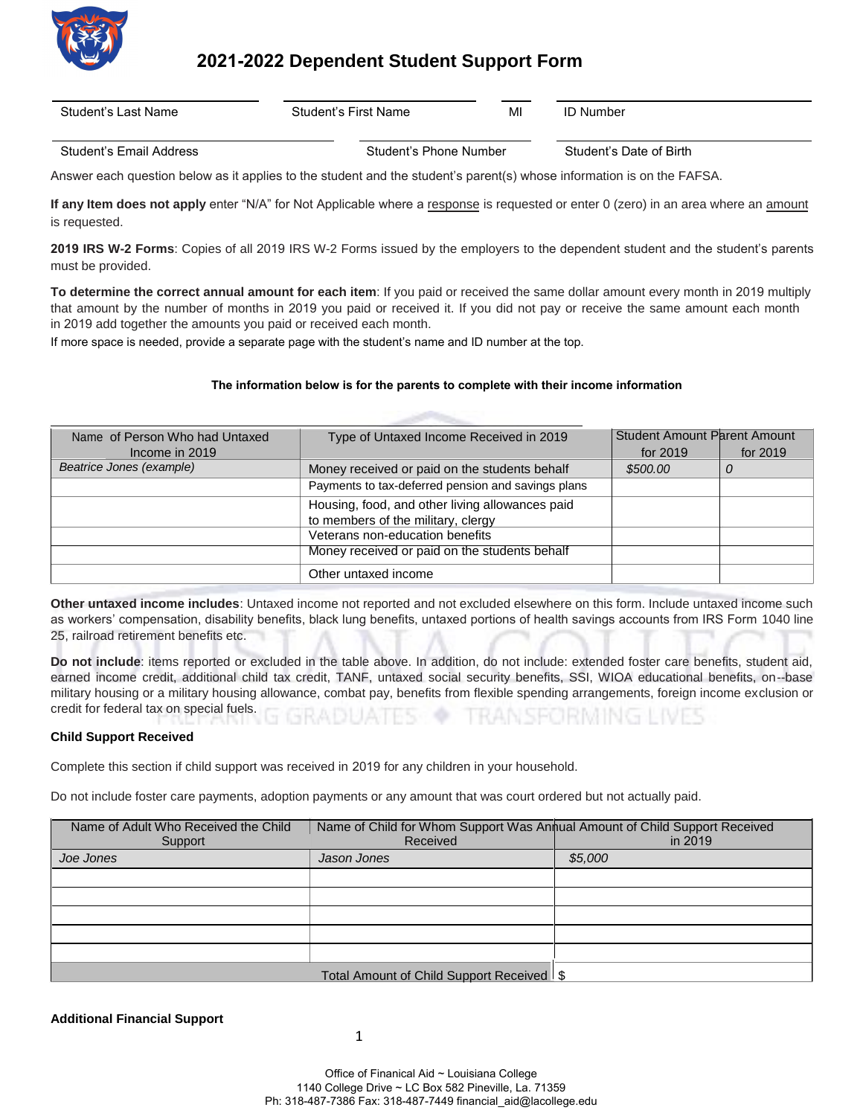

## **2021-2022 Dependent Student Support Form**

|--|

Student's Email Address Student's Phone Number Student's Date of Birth

Answer each question below as it applies to the student and the student's parent(s) whose information is on the FAFSA.

**If any Item does not apply** enter "N/A" for Not Applicable where a response is requested or enter 0 (zero) in an area where an amount is requested.

**2019 IRS W-2 Forms**: Copies of all 2019 IRS W-2 Forms issued by the employers to the dependent student and the student's parents must be provided.

**To determine the correct annual amount for each item**: If you paid or received the same dollar amount every month in 2019 multiply that amount by the number of months in 2019 you paid or received it. If you did not pay or receive the same amount each month in 2019 add together the amounts you paid or received each month.

If more space is needed, provide a separate page with the student's name and ID number at the top.

## **The information below is for the parents to complete with their income information**

| Name of Person Who had Untaxed | Type of Untaxed Income Received in 2019            | <b>Student Amount Parent Amount</b> |          |
|--------------------------------|----------------------------------------------------|-------------------------------------|----------|
| Income in 2019                 |                                                    | for 2019                            | for 2019 |
| Beatrice Jones (example)       | Money received or paid on the students behalf      | \$500.00                            | 0        |
|                                | Payments to tax-deferred pension and savings plans |                                     |          |
|                                | Housing, food, and other living allowances paid    |                                     |          |
|                                | to members of the military, clergy                 |                                     |          |
|                                | Veterans non-education benefits                    |                                     |          |
|                                | Money received or paid on the students behalf      |                                     |          |
|                                | Other untaxed income                               |                                     |          |

**Other untaxed income includes**: Untaxed income not reported and not excluded elsewhere on this form. Include untaxed income such as workers' compensation, disability benefits, black lung benefits, untaxed portions of health savings accounts from IRS Form 1040 line 25, railroad retirement benefits etc.

**Do not include**: items reported or excluded in the table above. In addition, do not include: extended foster care benefits, student aid, earned income credit, additional child tax credit, TANF, untaxed social security benefits, SSI, WIOA educational benefits, on--base military housing or a military housing allowance, combat pay, benefits from flexible spending arrangements, foreign income exclusion or credit for federal tax on special fuels.

## **Child Support Received**

Complete this section if child support was received in 2019 for any children in your household.

Do not include foster care payments, adoption payments or any amount that was court ordered but not actually paid.

| Name of Adult Who Received the Child<br>Support | Name of Child for Whom Support Was Annual Amount of Child Support Received<br>Received | in 2019 |  |  |
|-------------------------------------------------|----------------------------------------------------------------------------------------|---------|--|--|
| Joe Jones                                       | Jason Jones                                                                            | \$5,000 |  |  |
|                                                 |                                                                                        |         |  |  |
|                                                 |                                                                                        |         |  |  |
|                                                 |                                                                                        |         |  |  |
|                                                 |                                                                                        |         |  |  |
|                                                 |                                                                                        |         |  |  |
| Total Amount of Child Support Received \$       |                                                                                        |         |  |  |

**Additional Financial Support**